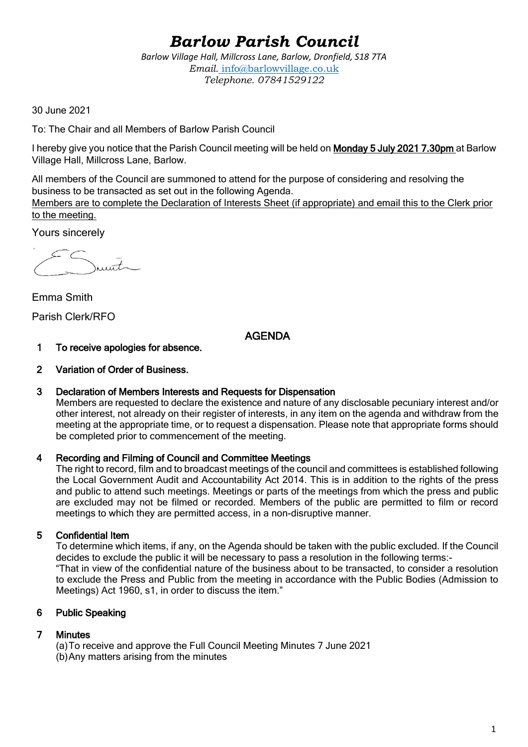# *Barlow Parish Council*

*Barlow Village Hall, Millcross Lane, Barlow, Dronfield, S18 7TA Email.* info@barlowvillage.co.uk *Telephone. 07841529122*

30 June 2021

To: The Chair and all Members of Barlow Parish Council

I hereby give you notice that the Parish Council meeting will be held on Monday 5 July 2021 7.30pm at Barlow Village Hall, Millcross Lane, Barlow.

All members of the Council are summoned to attend for the purpose of considering and resolving the business to be transacted as set out in the following Agenda.

Members are to complete the Declaration of Interests Sheet (if appropriate) and email this to the Clerk prior to the meeting.

Yours sincerely

 $\bar{t}$ 

Emma Smith Parish Clerk/RFO

# AGENDA

- 1 To receive apologies for absence.
- 2 Variation of Order of Business.

## 3 Declaration of Members Interests and Requests for Dispensation

Members are requested to declare the existence and nature of any disclosable pecuniary interest and/or other interest, not already on their register of interests, in any item on the agenda and withdraw from the meeting at the appropriate time, or to request a dispensation. Please note that appropriate forms should be completed prior to commencement of the meeting.

## 4 Recording and Filming of Council and Committee Meetings

The right to record, film and to broadcast meetings of the council and committees is established following the Local Government Audit and Accountability Act 2014. This is in addition to the rights of the press and public to attend such meetings. Meetings or parts of the meetings from which the press and public are excluded may not be filmed or recorded. Members of the public are permitted to film or record meetings to which they are permitted access, in a non-disruptive manner.

# 5 Confidential Item

To determine which items, if any, on the Agenda should be taken with the public excluded. If the Council decides to exclude the public it will be necessary to pass a resolution in the following terms:- "That in view of the confidential nature of the business about to be transacted, to consider a resolution to exclude the Press and Public from the meeting in accordance with the Public Bodies (Admission to Meetings) Act 1960, s1, in order to discuss the item."

# 6 Public Speaking

# 7 Minutes

(a)To receive and approve the Full Council Meeting Minutes 7 June 2021 (b)Any matters arising from the minutes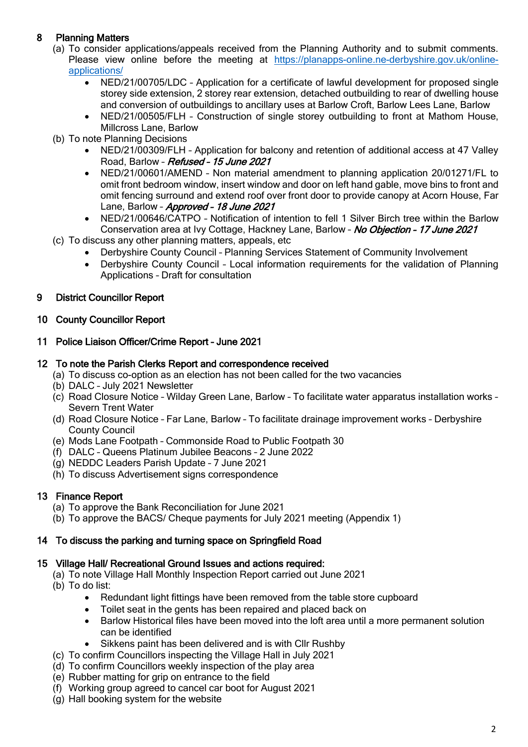# 8 Planning Matters

- (a) To consider applications/appeals received from the Planning Authority and to submit comments. Please view online before the meeting at [https://planapps-online.ne-derbyshire.gov.uk/online](https://planapps-online.ne-derbyshire.gov.uk/online-applications/)[applications/](https://planapps-online.ne-derbyshire.gov.uk/online-applications/)
	- NED/21/00705/LDC Application for a certificate of lawful development for proposed single storey side extension, 2 storey rear extension, detached outbuilding to rear of dwelling house and conversion of outbuildings to ancillary uses at Barlow Croft, Barlow Lees Lane, Barlow
	- NED/21/00505/FLH Construction of single storey outbuilding to front at Mathom House, Millcross Lane, Barlow
- (b) To note Planning Decisions
	- NED/21/00309/FLH Application for balcony and retention of additional access at 47 Valley Road, Barlow – Refused – 15 June 2021
	- NED/21/00601/AMEND Non material amendment to planning application 20/01271/FL to omit front bedroom window, insert window and door on left hand gable, move bins to front and omit fencing surround and extend roof over front door to provide canopy at Acorn House, Far Lane, Barlow - Approved - 18 June 2021
	- NED/21/00646/CATPO Notification of intention to fell 1 Silver Birch tree within the Barlow Conservation area at Ivy Cottage, Hackney Lane, Barlow - No Objection - 17 June 2021
- (c) To discuss any other planning matters, appeals, etc
	- Derbyshire County Council Planning Services Statement of Community Involvement
	- Derbyshire County Council Local information requirements for the validation of Planning Applications – Draft for consultation

## 9 District Councillor Report

## 10 County Councillor Report

11 Police Liaison Officer/Crime Report – June 2021

## 12 To note the Parish Clerks Report and correspondence received

- (a) To discuss co-option as an election has not been called for the two vacancies
- (b) DALC July 2021 Newsletter
- (c) Road Closure Notice Wilday Green Lane, Barlow To facilitate water apparatus installation works Severn Trent Water
- (d) Road Closure Notice Far Lane, Barlow To facilitate drainage improvement works Derbyshire County Council
- (e) Mods Lane Footpath Commonside Road to Public Footpath 30
- (f) DALC Queens Platinum Jubilee Beacons 2 June 2022
- (g) NEDDC Leaders Parish Update 7 June 2021
- (h) To discuss Advertisement signs correspondence

# 13 Finance Report

- (a) To approve the Bank Reconciliation for June 2021
- (b) To approve the BACS/ Cheque payments for July 2021 meeting (Appendix 1)

# 14 To discuss the parking and turning space on Springfield Road

## 15 Village Hall/ Recreational Ground Issues and actions required:

- (a) To note Village Hall Monthly Inspection Report carried out June 2021
	- (b) To do list:
		- Redundant light fittings have been removed from the table store cupboard
		- Toilet seat in the gents has been repaired and placed back on
		- Barlow Historical files have been moved into the loft area until a more permanent solution can be identified
		- Sikkens paint has been delivered and is with Cllr Rushby
	- (c) To confirm Councillors inspecting the Village Hall in July 2021
	- (d) To confirm Councillors weekly inspection of the play area
	- (e) Rubber matting for grip on entrance to the field
	- (f) Working group agreed to cancel car boot for August 2021
	- (g) Hall booking system for the website